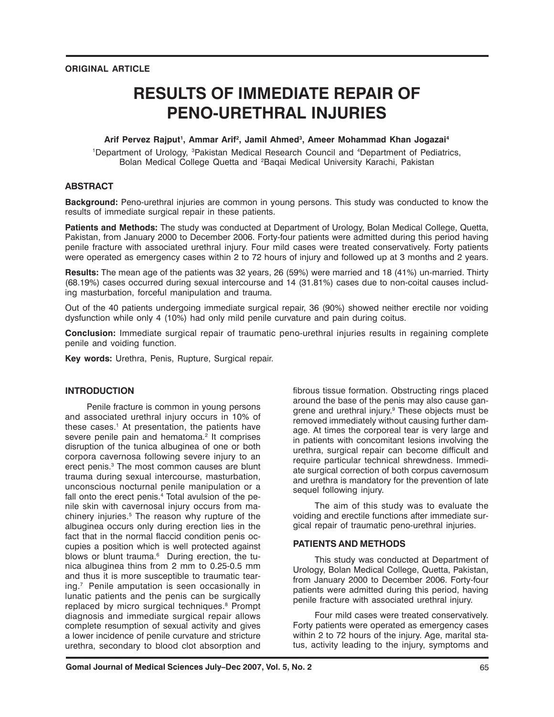# **RESULTS OF IMMEDIATE REPAIR OF PENO-URETHRAL INJURIES**

### Arif Pervez Rajput<sup>1</sup>, Ammar Arif<sup>2</sup>, Jamil Ahmed<sup>3</sup>, Ameer Mohammad Khan Jogazai<sup>4</sup>

<sup>1</sup>Department of Urology, <sup>3</sup>Pakistan Medical Research Council and <sup>4</sup>Department of Pediatrics, Bolan Medical College Quetta and 2Baqai Medical University Karachi, Pakistan

## **ABSTRACT**

**Background:** Peno-urethral injuries are common in young persons. This study was conducted to know the results of immediate surgical repair in these patients.

**Patients and Methods:** The study was conducted at Department of Urology, Bolan Medical College, Quetta, Pakistan, from January 2000 to December 2006. Forty-four patients were admitted during this period having penile fracture with associated urethral injury. Four mild cases were treated conservatively. Forty patients were operated as emergency cases within 2 to 72 hours of injury and followed up at 3 months and 2 years.

**Results:** The mean age of the patients was 32 years, 26 (59%) were married and 18 (41%) un-married. Thirty (68.19%) cases occurred during sexual intercourse and 14 (31.81%) cases due to non-coital causes including masturbation, forceful manipulation and trauma.

Out of the 40 patients undergoing immediate surgical repair, 36 (90%) showed neither erectile nor voiding dysfunction while only 4 (10%) had only mild penile curvature and pain during coitus.

**Conclusion:** Immediate surgical repair of traumatic peno-urethral injuries results in regaining complete penile and voiding function.

**Key words:** Urethra, Penis, Rupture, Surgical repair.

## **INTRODUCTION**

Penile fracture is common in young persons and associated urethral injury occurs in 10% of these cases.<sup>1</sup> At presentation, the patients have severe penile pain and hematoma.<sup>2</sup> It comprises disruption of the tunica albuginea of one or both corpora cavernosa following severe injury to an erect penis.<sup>3</sup> The most common causes are blunt trauma during sexual intercourse, masturbation, unconscious nocturnal penile manipulation or a fall onto the erect penis.<sup>4</sup> Total avulsion of the penile skin with cavernosal injury occurs from machinery injuries.<sup>5</sup> The reason why rupture of the albuginea occurs only during erection lies in the fact that in the normal flaccid condition penis occupies a position which is well protected against blows or blunt trauma.<sup>6</sup> During erection, the tunica albuginea thins from 2 mm to 0.25-0.5 mm and thus it is more susceptible to traumatic tearing.7 Penile amputation is seen occasionally in lunatic patients and the penis can be surgically replaced by micro surgical techniques.<sup>8</sup> Prompt diagnosis and immediate surgical repair allows complete resumption of sexual activity and gives a lower incidence of penile curvature and stricture urethra, secondary to blood clot absorption and

fibrous tissue formation. Obstructing rings placed around the base of the penis may also cause gangrene and urethral injury.<sup>9</sup> These objects must be removed immediately without causing further damage. At times the corporeal tear is very large and in patients with concomitant lesions involving the urethra, surgical repair can become difficult and require particular technical shrewdness. Immediate surgical correction of both corpus cavernosum and urethra is mandatory for the prevention of late sequel following injury.

The aim of this study was to evaluate the voiding and erectile functions after immediate surgical repair of traumatic peno-urethral injuries.

#### **PATIENTS AND METHODS**

This study was conducted at Department of Urology, Bolan Medical College, Quetta, Pakistan, from January 2000 to December 2006. Forty-four patients were admitted during this period, having penile fracture with associated urethral injury.

Four mild cases were treated conservatively. Forty patients were operated as emergency cases within 2 to 72 hours of the injury. Age, marital status, activity leading to the injury, symptoms and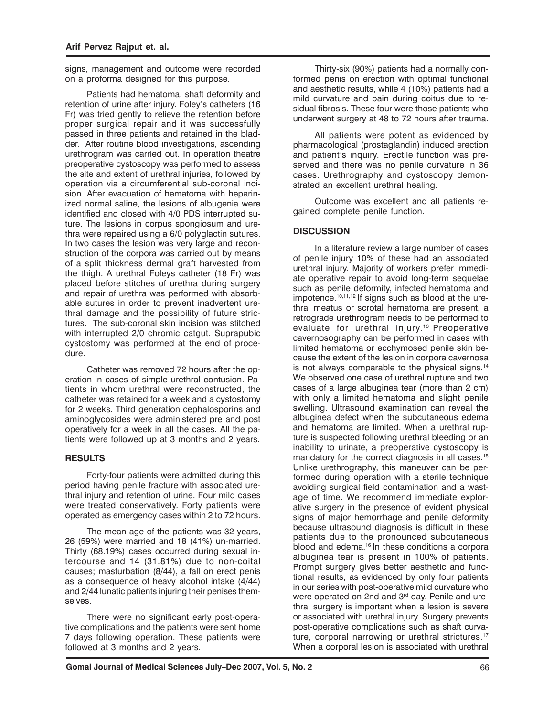signs, management and outcome were recorded on a proforma designed for this purpose.

Patients had hematoma, shaft deformity and retention of urine after injury. Foley's catheters (16 Fr) was tried gently to relieve the retention before proper surgical repair and it was successfully passed in three patients and retained in the bladder. After routine blood investigations, ascending urethrogram was carried out. In operation theatre preoperative cystoscopy was performed to assess the site and extent of urethral injuries, followed by operation via a circumferential sub-coronal incision. After evacuation of hematoma with heparinized normal saline, the lesions of albugenia were identified and closed with 4/0 PDS interrupted suture. The lesions in corpus spongiosum and urethra were repaired using a 6/0 polyglactin sutures. In two cases the lesion was very large and reconstruction of the corpora was carried out by means of a split thickness dermal graft harvested from the thigh. A urethral Foleys catheter (18 Fr) was placed before stitches of urethra during surgery and repair of urethra was performed with absorbable sutures in order to prevent inadvertent urethral damage and the possibility of future strictures. The sub-coronal skin incision was stitched with interrupted 2/0 chromic catgut. Suprapubic cystostomy was performed at the end of procedure.

Catheter was removed 72 hours after the operation in cases of simple urethral contusion. Patients in whom urethral were reconstructed, the catheter was retained for a week and a cystostomy for 2 weeks. Third generation cephalosporins and aminoglycosides were administered pre and post operatively for a week in all the cases. All the patients were followed up at 3 months and 2 years.

## **RESULTS**

Forty-four patients were admitted during this period having penile fracture with associated urethral injury and retention of urine. Four mild cases were treated conservatively. Forty patients were operated as emergency cases within 2 to 72 hours.

The mean age of the patients was 32 years, 26 (59%) were married and 18 (41%) un-married. Thirty (68.19%) cases occurred during sexual intercourse and 14 (31.81%) due to non-coital causes; masturbation (8/44), a fall on erect penis as a consequence of heavy alcohol intake (4/44) and 2/44 lunatic patients injuring their penises themselves.

There were no significant early post-operative complications and the patients were sent home 7 days following operation. These patients were followed at 3 months and 2 years.

Thirty-six (90%) patients had a normally conformed penis on erection with optimal functional and aesthetic results, while 4 (10%) patients had a mild curvature and pain during coitus due to residual fibrosis. These four were those patients who underwent surgery at 48 to 72 hours after trauma.

All patients were potent as evidenced by pharmacological (prostaglandin) induced erection and patient's inquiry. Erectile function was preserved and there was no penile curvature in 36 cases. Urethrography and cystoscopy demonstrated an excellent urethral healing.

Outcome was excellent and all patients regained complete penile function.

# **DISCUSSION**

In a literature review a large number of cases of penile injury 10% of these had an associated urethral injury. Majority of workers prefer immediate operative repair to avoid long-term sequelae such as penile deformity, infected hematoma and impotence.10,11,12 If signs such as blood at the urethral meatus or scrotal hematoma are present, a retrograde urethrogram needs to be performed to evaluate for urethral injury.<sup>13</sup> Preoperative cavernosography can be performed in cases with limited hematoma or ecchymosed penile skin because the extent of the lesion in corpora cavernosa is not always comparable to the physical signs.14 We observed one case of urethral rupture and two cases of a large albuginea tear (more than 2 cm) with only a limited hematoma and slight penile swelling. Ultrasound examination can reveal the albuginea defect when the subcutaneous edema and hematoma are limited. When a urethral rupture is suspected following urethral bleeding or an inability to urinate, a preoperative cystoscopy is mandatory for the correct diagnosis in all cases.<sup>15</sup> Unlike urethrography, this maneuver can be performed during operation with a sterile technique avoiding surgical field contamination and a wastage of time. We recommend immediate explorative surgery in the presence of evident physical signs of major hemorrhage and penile deformity because ultrasound diagnosis is difficult in these patients due to the pronounced subcutaneous blood and edema.<sup>16</sup> In these conditions a corpora albuginea tear is present in 100% of patients. Prompt surgery gives better aesthetic and functional results, as evidenced by only four patients in our series with post-operative mild curvature who were operated on 2nd and 3<sup>rd</sup> day. Penile and urethral surgery is important when a lesion is severe or associated with urethral injury. Surgery prevents post-operative complications such as shaft curvature, corporal narrowing or urethral strictures.<sup>17</sup> When a corporal lesion is associated with urethral